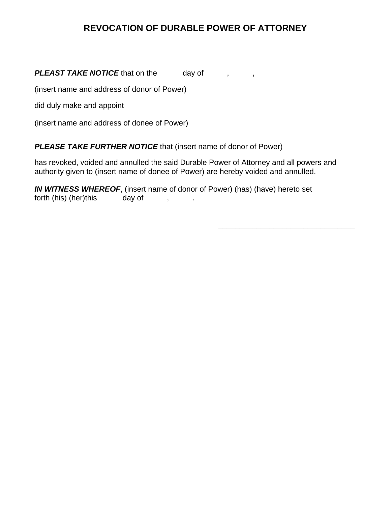# **REVOCATION OF DURABLE POWER OF ATTORNEY**

## **PLEAST TAKE NOTICE** that on the day of , ,

(insert name and address of donor of Power)

did duly make and appoint

(insert name and address of donee of Power)

### *PLEASE TAKE FURTHER NOTICE* that (insert name of donor of Power)

has revoked, voided and annulled the said Durable Power of Attorney and all powers and authority given to (insert name of donee of Power) are hereby voided and annulled.

*IN WITNESS WHEREOF*, (insert name of donor of Power) (has) (have) hereto set forth (his) (her)this day of , .

 $\overline{\phantom{a}}$  , which is a constant of the constant of the constant of the constant of the constant of the constant of the constant of the constant of the constant of the constant of the constant of the constant of the cons